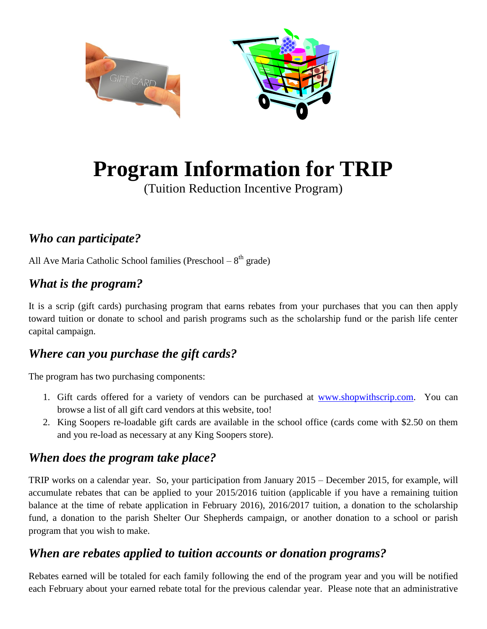

# **Program Information for TRIP**

(Tuition Reduction Incentive Program)

# *Who can participate?*

All Ave Maria Catholic School families (Preschool  $-8<sup>th</sup>$  grade)

#### *What is the program?*

It is a scrip (gift cards) purchasing program that earns rebates from your purchases that you can then apply toward tuition or donate to school and parish programs such as the scholarship fund or the parish life center capital campaign.

#### *Where can you purchase the gift cards?*

The program has two purchasing components:

- 1. Gift cards offered for a variety of vendors can be purchased at [www.shopwithscrip.com.](http://www.shopwithscrip.com/) You can browse a list of all gift card vendors at this website, too!
- 2. King Soopers re-loadable gift cards are available in the school office (cards come with \$2.50 on them and you re-load as necessary at any King Soopers store).

#### *When does the program take place?*

TRIP works on a calendar year. So, your participation from January 2015 – December 2015, for example, will accumulate rebates that can be applied to your 2015/2016 tuition (applicable if you have a remaining tuition balance at the time of rebate application in February 2016), 2016/2017 tuition, a donation to the scholarship fund, a donation to the parish Shelter Our Shepherds campaign, or another donation to a school or parish program that you wish to make.

#### *When are rebates applied to tuition accounts or donation programs?*

Rebates earned will be totaled for each family following the end of the program year and you will be notified each February about your earned rebate total for the previous calendar year. Please note that an administrative